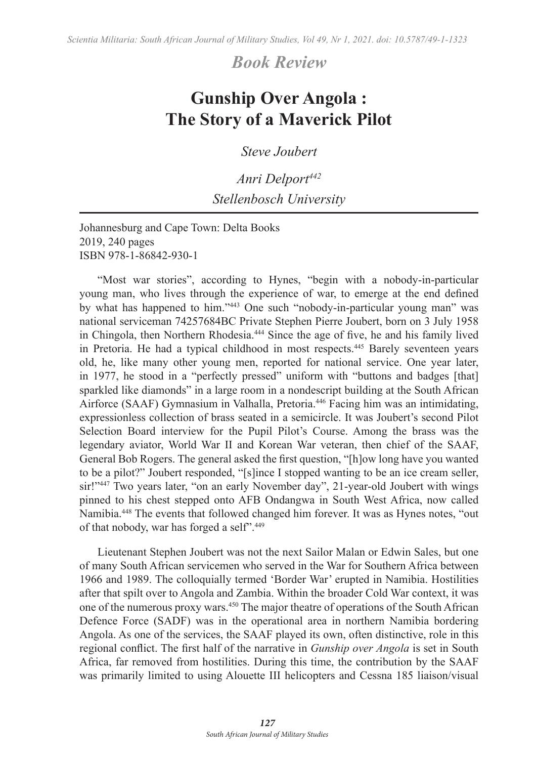*Book Review*

## **Gunship Over Angola : The Story of a Maverick Pilot**

*Steve Joubert*

*Anri Delport442 Stellenbosch University*

Johannesburg and Cape Town: Delta Books 2019, 240 pages ISBN 978-1-86842-930-1

"Most war stories", according to Hynes, "begin with a nobody-in-particular young man, who lives through the experience of war, to emerge at the end defined by what has happened to him."443 One such "nobody-in-particular young man" was national serviceman 74257684BC Private Stephen Pierre Joubert, born on 3 July 1958 in Chingola, then Northern Rhodesia.<sup>444</sup> Since the age of five, he and his family lived in Pretoria. He had a typical childhood in most respects.445 Barely seventeen years old, he, like many other young men, reported for national service. One year later, in 1977, he stood in a "perfectly pressed" uniform with "buttons and badges [that] sparkled like diamonds" in a large room in a nondescript building at the South African Airforce (SAAF) Gymnasium in Valhalla, Pretoria.446 Facing him was an intimidating, expressionless collection of brass seated in a semicircle. It was Joubert's second Pilot Selection Board interview for the Pupil Pilot's Course. Among the brass was the legendary aviator, World War II and Korean War veteran, then chief of the SAAF, General Bob Rogers. The general asked the first question, "[h]ow long have you wanted to be a pilot?" Joubert responded, "[s]ince I stopped wanting to be an ice cream seller, sir!"<sup>447</sup> Two years later, "on an early November day", 21-year-old Joubert with wings pinned to his chest stepped onto AFB Ondangwa in South West Africa, now called Namibia.<sup>448</sup> The events that followed changed him forever. It was as Hynes notes, "out of that nobody, war has forged a self".<sup>449</sup>

Lieutenant Stephen Joubert was not the next Sailor Malan or Edwin Sales, but one of many South African servicemen who served in the War for Southern Africa between 1966 and 1989. The colloquially termed 'Border War' erupted in Namibia. Hostilities after that spilt over to Angola and Zambia. Within the broader Cold War context, it was one of the numerous proxy wars.450 The major theatre of operations of the South African Defence Force (SADF) was in the operational area in northern Namibia bordering Angola. As one of the services, the SAAF played its own, often distinctive, role in this regional conflict. The first half of the narrative in *Gunship over Angola* is set in South Africa, far removed from hostilities. During this time, the contribution by the SAAF was primarily limited to using Alouette III helicopters and Cessna 185 liaison/visual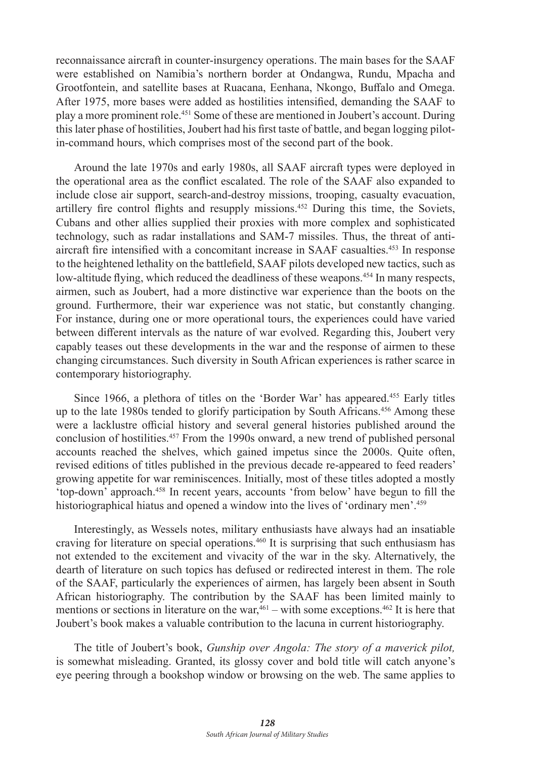reconnaissance aircraft in counter-insurgency operations. The main bases for the SAAF were established on Namibia's northern border at Ondangwa, Rundu, Mpacha and Grootfontein, and satellite bases at Ruacana, Eenhana, Nkongo, Buffalo and Omega. After 1975, more bases were added as hostilities intensified, demanding the SAAF to play a more prominent role.<sup>451</sup> Some of these are mentioned in Joubert's account. During this later phase of hostilities, Joubert had his first taste of battle, and began logging pilotin-command hours, which comprises most of the second part of the book.

Around the late 1970s and early 1980s, all SAAF aircraft types were deployed in the operational area as the conflict escalated. The role of the SAAF also expanded to include close air support, search-and-destroy missions, trooping, casualty evacuation, artillery fire control flights and resupply missions.452 During this time, the Soviets, Cubans and other allies supplied their proxies with more complex and sophisticated technology, such as radar installations and SAM-7 missiles. Thus, the threat of antiaircraft fire intensified with a concomitant increase in SAAF casualties.<sup>453</sup> In response to the heightened lethality on the battlefield, SAAF pilots developed new tactics, such as low-altitude flying, which reduced the deadliness of these weapons.<sup>454</sup> In many respects, airmen, such as Joubert, had a more distinctive war experience than the boots on the ground. Furthermore, their war experience was not static, but constantly changing. For instance, during one or more operational tours, the experiences could have varied between different intervals as the nature of war evolved. Regarding this, Joubert very capably teases out these developments in the war and the response of airmen to these changing circumstances. Such diversity in South African experiences is rather scarce in contemporary historiography.

Since 1966, a plethora of titles on the 'Border War' has appeared.455 Early titles up to the late 1980s tended to glorify participation by South Africans.<sup>456</sup> Among these were a lacklustre official history and several general histories published around the conclusion of hostilities.<sup>457</sup> From the 1990s onward, a new trend of published personal accounts reached the shelves, which gained impetus since the 2000s. Quite often, revised editions of titles published in the previous decade re-appeared to feed readers' growing appetite for war reminiscences. Initially, most of these titles adopted a mostly 'top-down' approach.<sup>458</sup> In recent years, accounts 'from below' have begun to fill the historiographical hiatus and opened a window into the lives of 'ordinary men'.<sup>459</sup>

Interestingly, as Wessels notes, military enthusiasts have always had an insatiable craving for literature on special operations.460 It is surprising that such enthusiasm has not extended to the excitement and vivacity of the war in the sky. Alternatively, the dearth of literature on such topics has defused or redirected interest in them. The role of the SAAF, particularly the experiences of airmen, has largely been absent in South African historiography. The contribution by the SAAF has been limited mainly to mentions or sections in literature on the war,  $461$  – with some exceptions.  $462$  It is here that Joubert's book makes a valuable contribution to the lacuna in current historiography.

The title of Joubert's book, *Gunship over Angola: The story of a maverick pilot,*  is somewhat misleading. Granted, its glossy cover and bold title will catch anyone's eye peering through a bookshop window or browsing on the web. The same applies to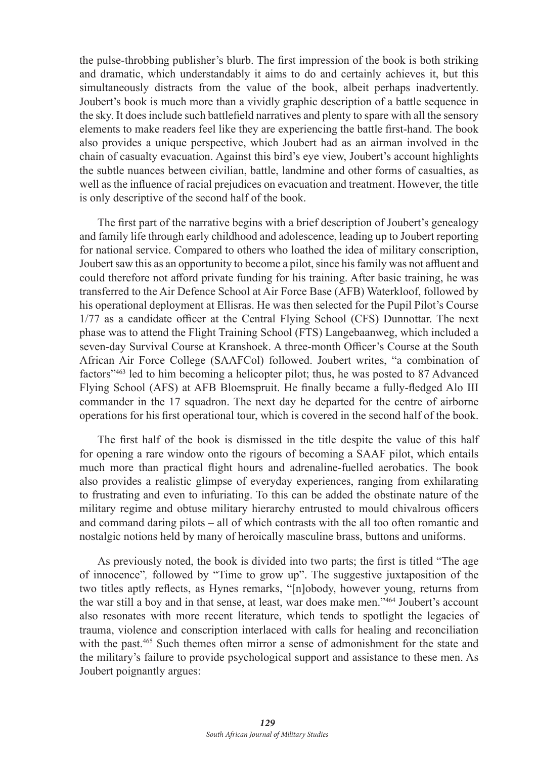the pulse-throbbing publisher's blurb. The first impression of the book is both striking and dramatic, which understandably it aims to do and certainly achieves it, but this simultaneously distracts from the value of the book, albeit perhaps inadvertently. Joubert's book is much more than a vividly graphic description of a battle sequence in the sky. It does include such battlefield narratives and plenty to spare with all the sensory elements to make readers feel like they are experiencing the battle first-hand. The book also provides a unique perspective, which Joubert had as an airman involved in the chain of casualty evacuation. Against this bird's eye view, Joubert's account highlights the subtle nuances between civilian, battle, landmine and other forms of casualties, as well as the influence of racial prejudices on evacuation and treatment. However, the title is only descriptive of the second half of the book.

The first part of the narrative begins with a brief description of Joubert's genealogy and family life through early childhood and adolescence, leading up to Joubert reporting for national service. Compared to others who loathed the idea of military conscription, Joubert saw this as an opportunity to become a pilot, since his family was not affluent and could therefore not afford private funding for his training. After basic training, he was transferred to the Air Defence School at Air Force Base (AFB) Waterkloof, followed by his operational deployment at Ellisras. He was then selected for the Pupil Pilot's Course 1/77 as a candidate officer at the Central Flying School (CFS) Dunnottar. The next phase was to attend the Flight Training School (FTS) Langebaanweg, which included a seven-day Survival Course at Kranshoek. A three-month Officer's Course at the South African Air Force College (SAAFCol) followed. Joubert writes, "a combination of factors"463 led to him becoming a helicopter pilot; thus, he was posted to 87 Advanced Flying School (AFS) at AFB Bloemspruit. He finally became a fully-fledged Alo III commander in the 17 squadron. The next day he departed for the centre of airborne operations for his first operational tour, which is covered in the second half of the book.

The first half of the book is dismissed in the title despite the value of this half for opening a rare window onto the rigours of becoming a SAAF pilot, which entails much more than practical flight hours and adrenaline-fuelled aerobatics. The book also provides a realistic glimpse of everyday experiences, ranging from exhilarating to frustrating and even to infuriating. To this can be added the obstinate nature of the military regime and obtuse military hierarchy entrusted to mould chivalrous officers and command daring pilots – all of which contrasts with the all too often romantic and nostalgic notions held by many of heroically masculine brass, buttons and uniforms.

As previously noted, the book is divided into two parts; the first is titled "The age of innocence"*,* followed by "Time to grow up". The suggestive juxtaposition of the two titles aptly reflects, as Hynes remarks, "[n]obody, however young, returns from the war still a boy and in that sense, at least, war does make men."464 Joubert's account also resonates with more recent literature, which tends to spotlight the legacies of trauma, violence and conscription interlaced with calls for healing and reconciliation with the past.<sup>465</sup> Such themes often mirror a sense of admonishment for the state and the military's failure to provide psychological support and assistance to these men. As Joubert poignantly argues: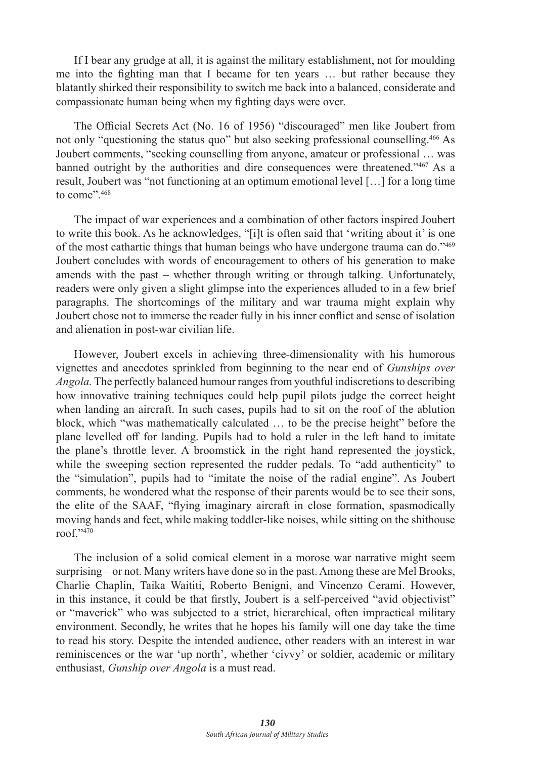If I bear any grudge at all, it is against the military establishment, not for moulding me into the fighting man that I became for ten years … but rather because they blatantly shirked their responsibility to switch me back into a balanced, considerate and compassionate human being when my fighting days were over.

The Official Secrets Act (No. 16 of 1956) "discouraged" men like Joubert from not only "questioning the status quo" but also seeking professional counselling.466 As Joubert comments, "seeking counselling from anyone, amateur or professional … was banned outright by the authorities and dire consequences were threatened."467 As a result, Joubert was "not functioning at an optimum emotional level […] for a long time to come" $1468$ 

The impact of war experiences and a combination of other factors inspired Joubert to write this book. As he acknowledges, "[i]t is often said that 'writing about it' is one of the most cathartic things that human beings who have undergone trauma can do."469 Joubert concludes with words of encouragement to others of his generation to make amends with the past – whether through writing or through talking. Unfortunately, readers were only given a slight glimpse into the experiences alluded to in a few brief paragraphs. The shortcomings of the military and war trauma might explain why Joubert chose not to immerse the reader fully in his inner conflict and sense of isolation and alienation in post-war civilian life.

However, Joubert excels in achieving three-dimensionality with his humorous vignettes and anecdotes sprinkled from beginning to the near end of *Gunships over Angola.* The perfectly balanced humour ranges from youthful indiscretions to describing how innovative training techniques could help pupil pilots judge the correct height when landing an aircraft. In such cases, pupils had to sit on the roof of the ablution block, which "was mathematically calculated … to be the precise height" before the plane levelled off for landing. Pupils had to hold a ruler in the left hand to imitate the plane's throttle lever. A broomstick in the right hand represented the joystick, while the sweeping section represented the rudder pedals. To "add authenticity" to the "simulation", pupils had to "imitate the noise of the radial engine". As Joubert comments, he wondered what the response of their parents would be to see their sons, the elite of the SAAF, "flying imaginary aircraft in close formation, spasmodically moving hands and feet, while making toddler-like noises, while sitting on the shithouse roof."470

The inclusion of a solid comical element in a morose war narrative might seem surprising – or not. Many writers have done so in the past. Among these are Mel Brooks, Charlie Chaplin, Taika Waititi, Roberto Benigni, and Vincenzo Cerami. However, in this instance, it could be that firstly, Joubert is a self-perceived "avid objectivist" or "maverick" who was subjected to a strict, hierarchical, often impractical military environment. Secondly, he writes that he hopes his family will one day take the time to read his story. Despite the intended audience, other readers with an interest in war reminiscences or the war 'up north', whether 'civvy' or soldier, academic or military enthusiast, *Gunship over Angola* is a must read.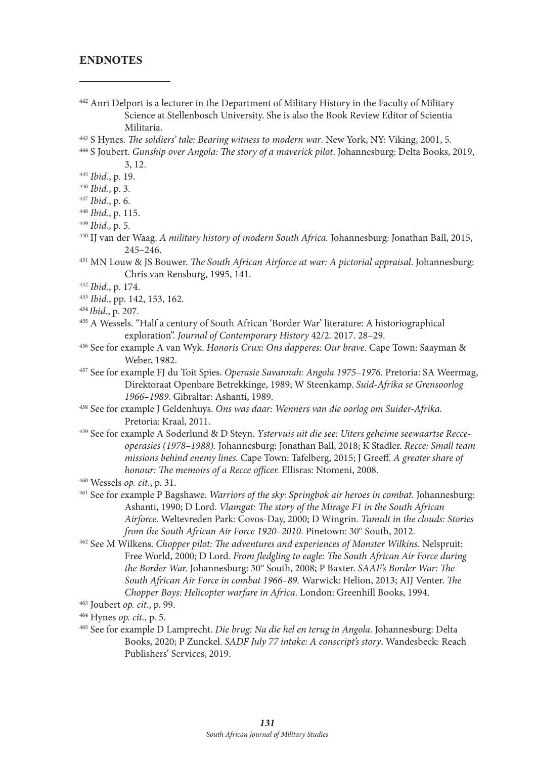## **ENDNOTES**

- 442 Anri Delport is a lecturer in the Department of Military History in the Faculty of Military Science at Stellenbosch University. She is also the Book Review Editor of Scientia Militaria.
- 443 S Hynes. *The soldiers' tale: Bearing witness to modern war*. New York, NY: Viking, 2001, 5.
- 444 S Joubert. *Gunship over Angola: The story of a maverick pilot*. Johannesburg: Delta Books, 2019, 3, 12.
- 
- <sup>445</sup> *Ibid.*, p. 19.
- <sup>446</sup> *Ibid.*, p. 3. 447 *Ibid.*, p. 6.
- <sup>448</sup> *Ibid.*, p. 115.
- <sup>449</sup> *Ibid.*, p. 5.
- 450 IJ van der Waag. *A military history of modern South Africa.* Johannesburg: Jonathan Ball, 2015, 245–246.
- 451 MN Louw & JS Bouwer. *The South African Airforce at war: A pictorial appraisal*. Johannesburg: Chris van Rensburg, 1995, 141.
- <sup>452</sup> *Ibid.*, p. 174.
- <sup>453</sup> *Ibid.*, pp. 142, 153, 162.
- <sup>454</sup>*Ibid.*, p. 207.
- 455 A Wessels. "Half a century of South African 'Border War' literature: A historiographical exploration". *Journal of Contemporary History* 42/2. 2017. 28–29.
- 456 See for example A van Wyk. *Honoris Crux: Ons dapperes: Our brave*. Cape Town: Saayman & Weber, 1982.
- 457 See for example FJ du Toit Spies. *Operasie Savannah: Angola 1975–1976*. Pretoria: SA Weermag, Direktoraat Openbare Betrekkinge, 1989; W Steenkamp. *Suid-Afrika se Grensoorlog 1966–1989*. Gibraltar: Ashanti, 1989.
- 458 See for example J Geldenhuys. *Ons was daar: Wenners van die oorlog om Suider-Afrika.*  Pretoria: Kraal, 2011.
- 459 See for example A Soderlund & D Steyn. *Ystervuis uit die see: Uiters geheime seewaartse Recceoperasies (1978–1988).* Johannesburg: Jonathan Ball, 2018; K Stadler. *Recce: Small team missions behind enemy lines.* Cape Town: Tafelberg, 2015; J Greeff. *A greater share of honour: The memoirs of a Recce officer.* Ellisras: Ntomeni, 2008.

460 Wessels *op. cit*., p. 31.

- 461 See for example P Bagshawe. *Warriors of the sky: Springbok air heroes in combat.* Johannesburg: Ashanti, 1990; D Lord. *Vlamgat: The story of the Mirage F1 in the South African Airforce*. Weltevreden Park: Covos-Day, 2000; D Wingrin. *Tumult in the clouds: Stories from the South African Air Force 1920–2010*. Pinetown: 30° South, 2012.
- 462 See M Wilkens. *Chopper pilot: The adventures and experiences of Monster Wilkins.* Nelspruit: Free World, 2000; D Lord. *From fledgling to eagle: The South African Air Force during the Border War.* Johannesburg: 30° South, 2008; P Baxter. *SAAF's Border War: The South African Air Force in combat 1966–89.* Warwick: Helion, 2013; AIJ Venter. *The Chopper Boys: Helicopter warfare in Africa*. London: Greenhill Books, 1994.
- 463 Joubert *op. cit.*, p. 99.

465 See for example D Lamprecht. *Die brug: Na die hel en terug in Angola*. Johannesburg: Delta Books, 2020; P Zunckel. *SADF July 77 intake: A conscript's story*. Wandesbeck: Reach Publishers' Services, 2019.

<sup>464</sup> Hynes *op. cit*., p. 5.